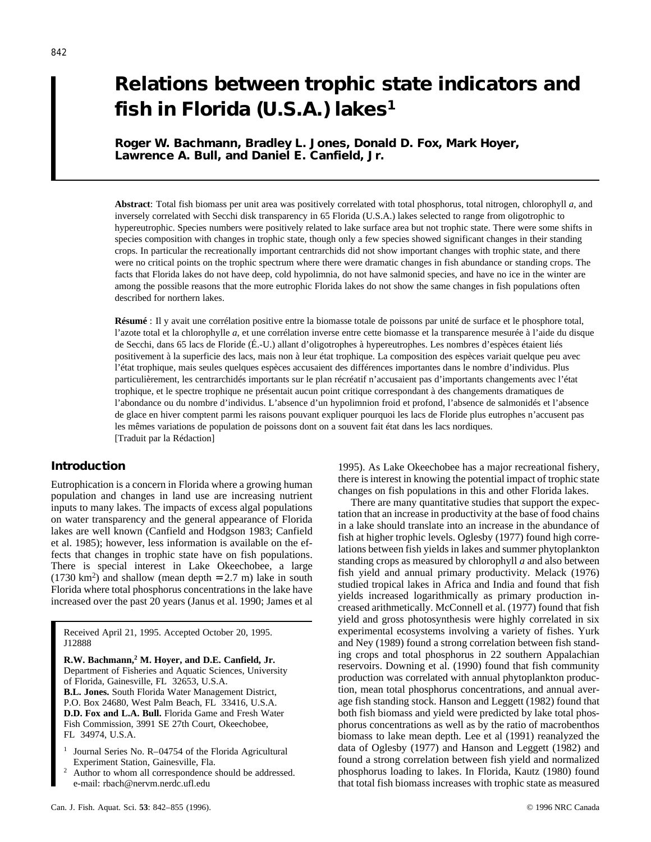# **Relations between trophic state indicators and fish in Florida (U.S.A.) lakes1**

**Roger W. Bachmann, Bradley L. Jones, Donald D. Fox, Mark Hoyer, Lawrence A. Bull, and Daniel E. Canfield, Jr.**

**Abstract**: Total fish biomass per unit area was positively correlated with total phosphorus, total nitrogen, chlorophyll *a*, and inversely correlated with Secchi disk transparency in 65 Florida (U.S.A.) lakes selected to range from oligotrophic to hypereutrophic. Species numbers were positively related to lake surface area but not trophic state. There were some shifts in species composition with changes in trophic state, though only a few species showed significant changes in their standing crops. In particular the recreationally important centrarchids did not show important changes with trophic state, and there were no critical points on the trophic spectrum where there were dramatic changes in fish abundance or standing crops. The facts that Florida lakes do not have deep, cold hypolimnia, do not have salmonid species, and have no ice in the winter are among the possible reasons that the more eutrophic Florida lakes do not show the same changes in fish populations often described for northern lakes.

**Résumé** : Il y avait une corrélation positive entre la biomasse totale de poissons par unité de surface et le phosphore total, l'azote total et la chlorophylle *a*, et une corrélation inverse entre cette biomasse et la transparence mesurée à l'aide du disque de Secchi, dans 65 lacs de Floride (É.-U.) allant d'oligotrophes à hypereutrophes. Les nombres d'espèces étaient liés positivement à la superficie des lacs, mais non à leur état trophique. La composition des espèces variait quelque peu avec l'état trophique, mais seules quelques espèces accusaient des différences importantes dans le nombre d'individus. Plus particulièrement, les centrarchidés importants sur le plan récréatif n'accusaient pas d'importants changements avec l'état trophique, et le spectre trophique ne présentait aucun point critique correspondant à des changements dramatiques de l'abondance ou du nombre d'individus. L'absence d'un hypolimnion froid et profond, l'absence de salmonidés et l'absence de glace en hiver comptent parmi les raisons pouvant expliquer pourquoi les lacs de Floride plus eutrophes n'accusent pas les mêmes variations de population de poissons dont on a souvent fait état dans les lacs nordiques. [Traduit par la Rédaction]

# **Introduction**

Eutrophication is a concern in Florida where a growing human population and changes in land use are increasing nutrient inputs to many lakes. The impacts of excess algal populations on water transparency and the general appearance of Florida lakes are well known (Canfield and Hodgson 1983; Canfield et al. 1985); however, less information is available on the effects that changes in trophic state have on fish populations. There is special interest in Lake Okeechobee, a large  $(1730 \text{ km}^2)$  and shallow (mean depth = 2.7 m) lake in south Florida where total phosphorus concentrations in the lake have increased over the past 20 years (Janus et al. 1990; James et al

Received April 21, 1995. Accepted October 20, 1995. J12888

**R.W. Bachmann,2 M. Hoyer, and D.E. Canfield, Jr.** Department of Fisheries and Aquatic Sciences, University of Florida, Gainesville, FL 32653, U.S.A. **B.L. Jones.** South Florida Water Management District, P.O. Box 24680, West Palm Beach, FL 33416, U.S.A. **D.D. Fox and L.A. Bull.** Florida Game and Fresh Water Fish Commission, 3991 SE 27th Court, Okeechobee, FL 34974, U.S.A.

- <sup>1</sup> Journal Series No. R–04754 of the Florida Agricultural Experiment Station, Gainesville, Fla.
- Author to whom all correspondence should be addressed. e-mail: rbach@nervm.nerdc.ufl.edu

1995). As Lake Okeechobee has a major recreational fishery, there is interest in knowing the potential impact of trophic state changes on fish populations in this and other Florida lakes.

There are many quantitative studies that support the expectation that an increase in productivity at the base of food chains in a lake should translate into an increase in the abundance of fish at higher trophic levels. Oglesby (1977) found high correlations between fish yields in lakes and summer phytoplankton standing crops as measured by chlorophyll *a* and also between fish yield and annual primary productivity. Melack (1976) studied tropical lakes in Africa and India and found that fish yields increased logarithmically as primary production increased arithmetically. McConnell et al. (1977) found that fish yield and gross photosynthesis were highly correlated in six experimental ecosystems involving a variety of fishes. Yurk and Ney (1989) found a strong correlation between fish standing crops and total phosphorus in 22 southern Appalachian reservoirs. Downing et al. (1990) found that fish community production was correlated with annual phytoplankton production, mean total phosphorus concentrations, and annual average fish standing stock. Hanson and Leggett (1982) found that both fish biomass and yield were predicted by lake total phosphorus concentrations as well as by the ratio of macrobenthos biomass to lake mean depth. Lee et al (1991) reanalyzed the data of Oglesby (1977) and Hanson and Leggett (1982) and found a strong correlation between fish yield and normalized phosphorus loading to lakes. In Florida, Kautz (1980) found that total fish biomass increases with trophic state as measured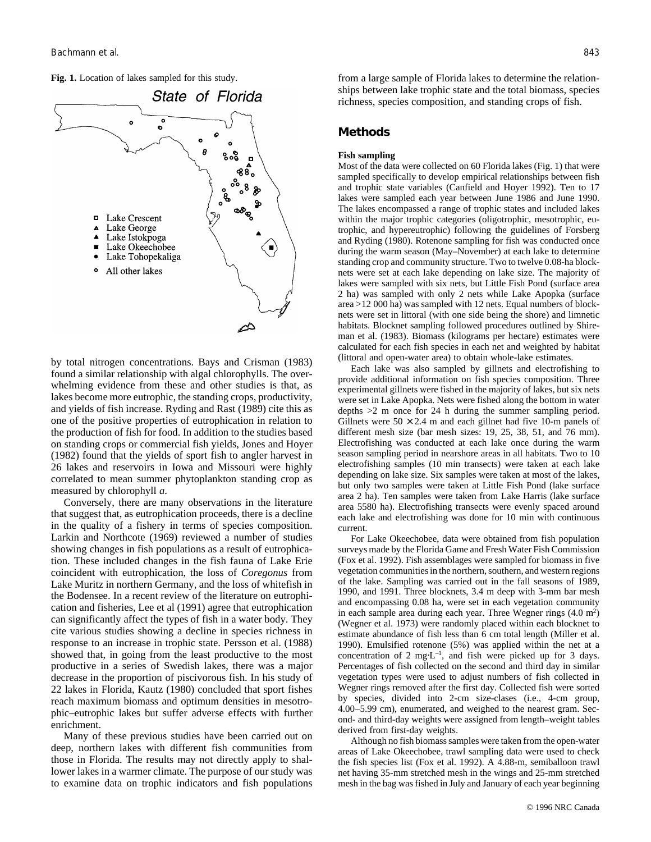



by total nitrogen concentrations. Bays and Crisman (1983) found a similar relationship with algal chlorophylls. The overwhelming evidence from these and other studies is that, as lakes become more eutrophic, the standing crops, productivity, and yields of fish increase. Ryding and Rast (1989) cite this as one of the positive properties of eutrophication in relation to the production of fish for food. In addition to the studies based on standing crops or commercial fish yields, Jones and Hoyer (1982) found that the yields of sport fish to angler harvest in 26 lakes and reservoirs in Iowa and Missouri were highly correlated to mean summer phytoplankton standing crop as measured by chlorophyll *a*.

Conversely, there are many observations in the literature that suggest that, as eutrophication proceeds, there is a decline in the quality of a fishery in terms of species composition. Larkin and Northcote (1969) reviewed a number of studies showing changes in fish populations as a result of eutrophication. These included changes in the fish fauna of Lake Erie coincident with eutrophication, the loss of *Coregonus* from Lake Muritz in northern Germany, and the loss of whitefish in the Bodensee. In a recent review of the literature on eutrophication and fisheries, Lee et al (1991) agree that eutrophication can significantly affect the types of fish in a water body. They cite various studies showing a decline in species richness in response to an increase in trophic state. Persson et al. (1988) showed that, in going from the least productive to the most productive in a series of Swedish lakes, there was a major decrease in the proportion of piscivorous fish. In his study of 22 lakes in Florida, Kautz (1980) concluded that sport fishes reach maximum biomass and optimum densities in mesotrophic–eutrophic lakes but suffer adverse effects with further enrichment.

Many of these previous studies have been carried out on deep, northern lakes with different fish communities from those in Florida. The results may not directly apply to shallower lakes in a warmer climate. The purpose of our study was to examine data on trophic indicators and fish populations

from a large sample of Florida lakes to determine the relationships between lake trophic state and the total biomass, species richness, species composition, and standing crops of fish.

## **Methods**

#### **Fish sampling**

Most of the data were collected on 60 Florida lakes (Fig. 1) that were sampled specifically to develop empirical relationships between fish and trophic state variables (Canfield and Hoyer 1992). Ten to 17 lakes were sampled each year between June 1986 and June 1990. The lakes encompassed a range of trophic states and included lakes within the major trophic categories (oligotrophic, mesotrophic, eutrophic, and hypereutrophic) following the guidelines of Forsberg and Ryding (1980). Rotenone sampling for fish was conducted once during the warm season (May–November) at each lake to determine standing crop and community structure. Two to twelve 0.08-ha blocknets were set at each lake depending on lake size. The majority of lakes were sampled with six nets, but Little Fish Pond (surface area 2 ha) was sampled with only 2 nets while Lake Apopka (surface area >12 000 ha) was sampled with 12 nets. Equal numbers of blocknets were set in littoral (with one side being the shore) and limnetic habitats. Blocknet sampling followed procedures outlined by Shireman et al. (1983). Biomass (kilograms per hectare) estimates were calculated for each fish species in each net and weighted by habitat (littoral and open-water area) to obtain whole-lake estimates.

Each lake was also sampled by gillnets and electrofishing to provide additional information on fish species composition. Three experimental gillnets were fished in the majority of lakes, but six nets were set in Lake Apopka. Nets were fished along the bottom in water depths >2 m once for 24 h during the summer sampling period. Gillnets were  $50 \times 2.4$  m and each gillnet had five 10-m panels of different mesh size (bar mesh sizes: 19, 25, 38, 51, and 76 mm). Electrofishing was conducted at each lake once during the warm season sampling period in nearshore areas in all habitats. Two to 10 electrofishing samples (10 min transects) were taken at each lake depending on lake size. Six samples were taken at most of the lakes, but only two samples were taken at Little Fish Pond (lake surface area 2 ha). Ten samples were taken from Lake Harris (lake surface area 5580 ha). Electrofishing transects were evenly spaced around each lake and electrofishing was done for 10 min with continuous current.

For Lake Okeechobee, data were obtained from fish population surveys made by the Florida Game and Fresh Water Fish Commission (Fox et al. 1992). Fish assemblages were sampled for biomass in five vegetation communities in the northern, southern, and western regions of the lake. Sampling was carried out in the fall seasons of 1989, 1990, and 1991. Three blocknets, 3.4 m deep with 3-mm bar mesh and encompassing 0.08 ha, were set in each vegetation community in each sample area during each year. Three Wegner rings  $(4.0 \text{ m}^2)$ (Wegner et al. 1973) were randomly placed within each blocknet to estimate abundance of fish less than 6 cm total length (Miller et al. 1990). Emulsified rotenone (5%) was applied within the net at a concentration of 2 mg⋅L<sup>-1</sup>, and fish were picked up for 3 days. Percentages of fish collected on the second and third day in similar vegetation types were used to adjust numbers of fish collected in Wegner rings removed after the first day. Collected fish were sorted by species, divided into 2-cm size-clases (i.e., 4-cm group, 4.00–5.99 cm), enumerated, and weighed to the nearest gram. Second- and third-day weights were assigned from length–weight tables derived from first-day weights.

Although no fish biomass samples were taken from the open-water areas of Lake Okeechobee, trawl sampling data were used to check the fish species list (Fox et al. 1992). A 4.88-m, semiballoon trawl net having 35-mm stretched mesh in the wings and 25-mm stretched mesh in the bag was fished in July and January of each year beginning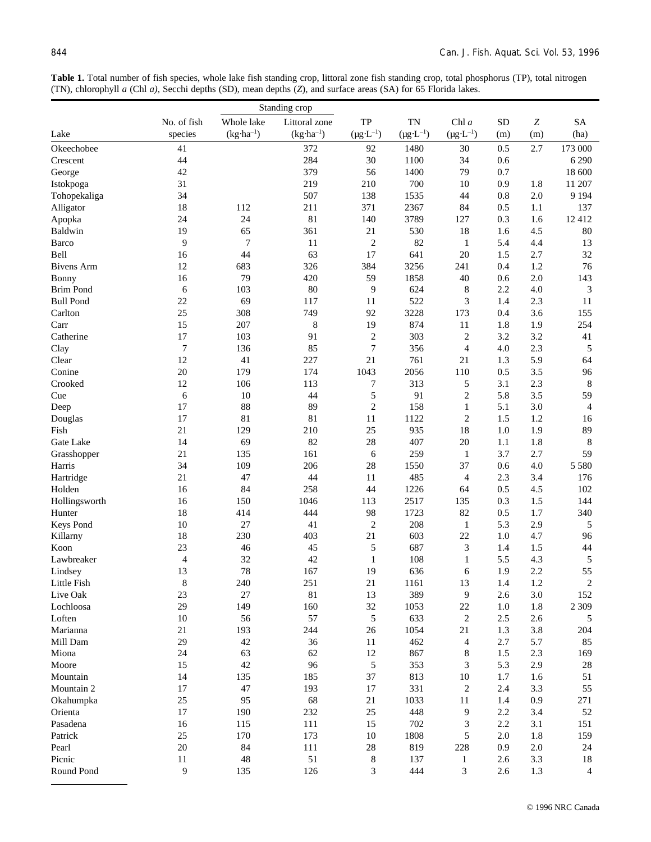Table 1. Total number of fish species, whole lake fish standing crop, littoral zone fish standing crop, total phosphorus (TP), total nitrogen (TN), chlorophyll *a* (Chl *a)*, Secchi depths (SD), mean depths (*Z*), and surface areas (SA) for 65 Florida lakes.

| Standing crop     |                          |                      |                      |                        |                        |                        |           |         |                |  |
|-------------------|--------------------------|----------------------|----------------------|------------------------|------------------------|------------------------|-----------|---------|----------------|--|
|                   | No. of fish              | Whole lake           | Littoral zone        | <b>TP</b>              | <b>TN</b>              | Chl $a$                | <b>SD</b> | Z       | SA             |  |
| Lake              | species                  | $(kg \cdot ha^{-1})$ | $(kg \cdot ha^{-1})$ | $(\mu g \cdot L^{-1})$ | $(\mu g \cdot L^{-1})$ | $(\mu g \cdot L^{-1})$ | (m)       | (m)     | (ha)           |  |
| Okeechobee        | 41                       |                      | 372                  | 92                     | 1480                   | 30                     | 0.5       | 2.7     | 173 000        |  |
| Crescent          | 44                       |                      | 284                  | 30                     | 1100                   | 34                     | 0.6       |         | 6 2 9 0        |  |
| George            | 42                       |                      | 379                  | 56                     | 1400                   | 79                     | 0.7       |         | 18 600         |  |
| Istokpoga         | 31                       |                      | 219                  | 210                    | 700                    | 10                     | 0.9       | 1.8     | 11 207         |  |
| Tohopekaliga      | 34                       |                      | 507                  | 138                    | 1535                   | 44                     | 0.8       | $2.0\,$ | 9 1 9 4        |  |
| Alligator         | 18                       | 112                  | 211                  | 371                    | 2367                   | 84                     | 0.5       | 1.1     | 137            |  |
| Apopka            | 24                       | 24                   | 81                   | 140                    | 3789                   | 127                    | 0.3       | 1.6     | 12 4 12        |  |
| Baldwin           | 19                       | 65                   | 361                  | 21                     | 530                    | 18                     | 1.6       | 4.5     | 80             |  |
| Barco             | 9                        | 7                    | 11                   | $\overline{c}$         | 82                     | $\mathbf{1}$           | 5.4       | 4.4     | 13             |  |
| Bell              | 16                       | 44                   | 63                   | 17                     | 641                    | 20                     | 1.5       | 2.7     | 32             |  |
| <b>Bivens</b> Arm | 12                       | 683                  | 326                  | 384                    | 3256                   | 241                    | 0.4       | 1.2     | 76             |  |
| Bonny             | 16                       | 79                   | 420                  | 59                     | 1858                   | 40                     | 0.6       | 2.0     | 143            |  |
| <b>Brim Pond</b>  | 6                        | 103                  | 80                   | 9                      | 624                    | 8                      | 2.2       | 4.0     | $\mathfrak{Z}$ |  |
| <b>Bull Pond</b>  | 22                       | 69                   | 117                  | 11                     | 522                    | 3                      | 1.4       | 2.3     | 11             |  |
| Carlton           | 25                       | 308                  | 749                  | 92                     | 3228                   | 173                    | 0.4       | 3.6     | 155            |  |
| Carr              | 15                       | 207                  | 8                    | 19                     | 874                    | 11                     | 1.8       | 1.9     | 254            |  |
| Catherine         | 17                       | 103                  | 91                   | $\sqrt{2}$             | 303                    | $\sqrt{2}$             | 3.2       | 3.2     | 41             |  |
| Clay              | 7                        | 136                  | 85                   | $\overline{7}$         | 356                    | $\overline{4}$         | 4.0       | 2.3     | 5              |  |
| Clear             | 12                       | 41                   | 227                  | $21\,$                 | 761                    | 21                     | 1.3       | 5.9     | 64             |  |
| Conine            | 20                       | 179                  | 174                  | 1043                   | 2056                   | 110                    | 0.5       | 3.5     | 96             |  |
| Crooked           | 12                       | 106                  | 113                  | 7                      | 313                    | 5                      | 3.1       | 2.3     | 8              |  |
| Cue               | 6                        | 10                   | 44                   | 5                      | 91                     | $\overline{c}$         | 5.8       | 3.5     | 59             |  |
| Deep              | 17                       | 88                   | 89                   | $\boldsymbol{2}$       | 158                    | $\mathbf{1}$           | 5.1       | 3.0     | $\overline{4}$ |  |
| Douglas           | 17                       | 81                   | 81                   | 11                     | 1122                   | $\mathfrak{2}$         | 1.5       | 1.2     | 16             |  |
| Fish              | 21                       | 129                  | 210                  | 25                     | 935                    | 18                     | 1.0       | 1.9     | 89             |  |
| Gate Lake         | 14                       | 69                   | 82                   | 28                     | 407                    | 20                     | 1.1       | 1.8     | 8              |  |
| Grasshopper       | 21                       | 135                  | 161                  | 6                      | 259                    | $\mathbf{1}$           | 3.7       | 2.7     | 59             |  |
| Harris            | 34                       | 109                  | 206                  | 28                     | 1550                   | 37                     | 0.6       | 4.0     | 5 5 8 0        |  |
| Hartridge         | 21                       | 47                   | 44                   | 11                     | 485                    | $\overline{4}$         | 2.3       | 3.4     | 176            |  |
| Holden            | 16                       | 84                   | 258                  | 44                     | 1226                   | 64                     | 0.5       | 4.5     | 102            |  |
| Hollingsworth     | 16                       | 150                  | 1046                 | 113                    | 2517                   | 135                    | 0.3       | 1.5     | 144            |  |
| Hunter            | 18                       | 414                  | 444                  | 98                     | 1723                   | 82                     | 0.5       | 1.7     | 340            |  |
| Keys Pond         | 10                       | $27\,$               | 41                   | 2                      | 208                    | $\mathbf{1}$           | 5.3       | 2.9     | $\mathfrak s$  |  |
| Killarny          | 18                       | 230                  | 403                  | 21                     | 603                    | $22\,$                 | 1.0       | 4.7     | 96             |  |
| Koon              | 23                       | 46                   | 45                   | 5                      | 687                    | 3                      | 1.4       | 1.5     | 44             |  |
| Lawbreaker        | $\overline{\mathcal{L}}$ | 32                   | 42                   | 1                      | 108                    | $\mathbf{1}$           | 5.5       | 4.3     | 5              |  |
| Lindsey           | 13                       | 78                   | 167                  | 19                     | 636                    | 6                      | 1.9       | 2.2     | 55             |  |
| Little Fish       | $\,8\,$                  | 240                  | 251                  | 21                     | 1161                   | 13                     | 1.4       | $1.2\,$ | $\overline{c}$ |  |
| Live Oak          | 23                       | $27\,$               | 81                   | 13                     | 389                    | $\overline{9}$         | $2.6\,$   | $3.0\,$ | 152            |  |
| Lochloosa         | 29                       | 149                  | 160                  | $32\,$                 | 1053                   | $22\,$                 | 1.0       | 1.8     | 2 3 0 9        |  |
| Loften            | 10                       | 56                   | 57                   | 5                      | 633                    | 2                      | $2.5\,$   | $2.6$   | 5              |  |
| Marianna          | $21\,$                   | 193                  | 244                  | $26\,$                 | 1054                   | $21\,$                 | 1.3       | $3.8\,$ | 204            |  |
| Mill Dam          | 29                       | 42                   | 36                   | 11                     | 462                    | $\overline{4}$         | 2.7       | 5.7     | 85             |  |
| Miona             | 24                       | 63                   | 62                   | 12                     | 867                    | $\,8\,$                | 1.5       | $2.3\,$ | 169            |  |
| Moore             | 15                       | 42                   | 96                   | 5                      | 353                    | 3                      | 5.3       | 2.9     | $28\,$         |  |
| Mountain          | 14                       | 135                  | 185                  | $37\,$                 | 813                    | 10                     | 1.7       | 1.6     | 51             |  |
| Mountain 2        | 17                       | 47                   | 193                  | 17                     | 331                    | $\boldsymbol{2}$       | 2.4       | 3.3     | 55             |  |
| Okahumpka         | 25                       | 95                   | 68                   | 21                     | 1033                   | 11                     | 1.4       | 0.9     | 271            |  |
| Orienta           | $17\,$                   | 190                  | 232                  | $25\,$                 | 448                    | 9                      | $2.2\,$   | 3.4     | 52             |  |
| Pasadena          | 16                       | 115                  | 111                  | 15                     | 702                    | $\mathfrak{Z}$         | $2.2\,$   | 3.1     | 151            |  |
| Patrick           | 25                       | 170                  | 173                  | $10\,$                 | 1808                   | 5                      | $2.0\,$   | $1.8\,$ | 159            |  |
| Pearl             | 20                       | 84                   | 111                  | $28\,$                 | 819                    | 228                    | 0.9       | $2.0\,$ | 24             |  |
| Picnic            | 11                       | 48                   | 51                   | 8                      | 137                    | $\mathbf{1}$           | 2.6       | 3.3     | 18             |  |
| Round Pond        | $\overline{9}$           | 135                  | 126                  | 3                      | 444                    | 3                      | $2.6$     | 1.3     | $\overline{4}$ |  |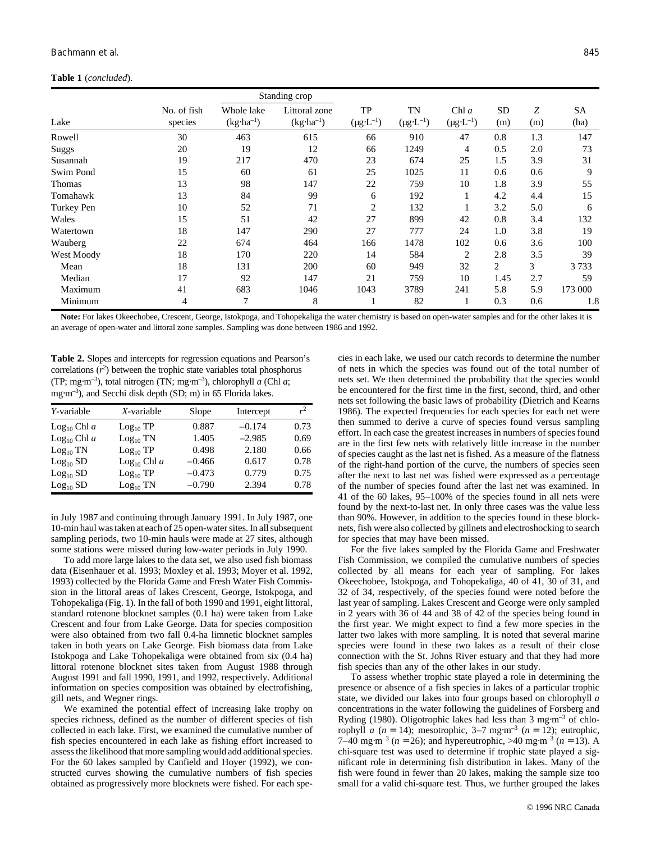#### **Table 1** (*concluded*).

|            |                        |                                    | Standing crop                         |                              |                                     |                                   |                  |          |                   |
|------------|------------------------|------------------------------------|---------------------------------------|------------------------------|-------------------------------------|-----------------------------------|------------------|----------|-------------------|
| Lake       | No. of fish<br>species | Whole lake<br>$(kg \cdot ha^{-1})$ | Littoral zone<br>$(kg \cdot ha^{-1})$ | TP<br>$(\mu g \cdot L^{-1})$ | <b>TN</b><br>$(\mu g \cdot L^{-1})$ | Chl $a$<br>$(\mu g \cdot L^{-1})$ | <b>SD</b><br>(m) | Z<br>(m) | <b>SA</b><br>(ha) |
| Rowell     | 30                     | 463                                | 615                                   | 66                           | 910                                 | 47                                | 0.8              | 1.3      | 147               |
| Suggs      | 20                     | 19                                 | 12                                    | 66                           | 1249                                | 4                                 | 0.5              | 2.0      | 73                |
| Susannah   | 19                     | 217                                | 470                                   | 23                           | 674                                 | 25                                | 1.5              | 3.9      | 31                |
| Swim Pond  | 15                     | 60                                 | 61                                    | 25                           | 1025                                | 11                                | 0.6              | 0.6      | 9                 |
| Thomas     | 13                     | 98                                 | 147                                   | 22                           | 759                                 | 10                                | 1.8              | 3.9      | 55                |
| Tomahawk   | 13                     | 84                                 | 99                                    | 6                            | 192                                 |                                   | 4.2              | 4.4      | 15                |
| Turkey Pen | 10                     | 52                                 | 71                                    | 2                            | 132                                 |                                   | 3.2              | 5.0      | 6                 |
| Wales      | 15                     | 51                                 | 42                                    | 27                           | 899                                 | 42                                | 0.8              | 3.4      | 132               |
| Watertown  | 18                     | 147                                | 290                                   | 27                           | 777                                 | 24                                | 1.0              | 3.8      | 19                |
| Wauberg    | 22                     | 674                                | 464                                   | 166                          | 1478                                | 102                               | 0.6              | 3.6      | 100               |
| West Moody | 18                     | 170                                | 220                                   | 14                           | 584                                 | 2                                 | 2.8              | 3.5      | 39                |
| Mean       | 18                     | 131                                | 200                                   | 60                           | 949                                 | 32                                | 2                | 3        | 3733              |
| Median     | 17                     | 92                                 | 147                                   | 21                           | 759                                 | 10                                | 1.45             | 2.7      | 59                |
| Maximum    | 41                     | 683                                | 1046                                  | 1043                         | 3789                                | 241                               | 5.8              | 5.9      | 173 000           |
| Minimum    | 4                      | 7                                  | 8                                     |                              | 82                                  |                                   | 0.3              | 0.6      | 1.8               |

**Note:** For lakes Okeechobee, Crescent, George, Istokpoga, and Tohopekaliga the water chemistry is based on open-water samples and for the other lakes it is an average of open-water and littoral zone samples. Sampling was done between 1986 and 1992.

**Table 2.** Slopes and intercepts for regression equations and Pearson's correlations  $(r^2)$  between the trophic state variables total phosphorus (TP; mg⋅m–3), total nitrogen (TN; mg⋅m–3), chlorophyll *a* (Chl *a*; mg $\cdot$ m<sup>-3</sup>), and Secchi disk depth (SD; m) in 65 Florida lakes.

| Y-variable           | X-variable           | Slope    | Intercept | $r^2$ |
|----------------------|----------------------|----------|-----------|-------|
| $Log10$ Chl a        | Log <sub>10</sub> TP | 0.887    | $-0.174$  | 0.73  |
| $Log10$ Chl a        | Log <sub>10</sub> TN | 1.405    | $-2.985$  | 0.69  |
| Log <sub>10</sub> TN | $Log_{10} TP$        | 0.498    | 2.180     | 0.66  |
| Log <sub>10</sub> SD | $Log10$ Chl a        | $-0.466$ | 0.617     | 0.78  |
| Log <sub>10</sub> SD | Log <sub>10</sub> TP | $-0.473$ | 0.779     | 0.75  |
| Log <sub>10</sub> SD | Log <sub>10</sub> TN | $-0.790$ | 2.394     | 0.78  |

in July 1987 and continuing through January 1991. In July 1987, one 10-min haul was taken at each of 25 open-water sites. In all subsequent sampling periods, two 10-min hauls were made at 27 sites, although some stations were missed during low-water periods in July 1990.

To add more large lakes to the data set, we also used fish biomass data (Eisenhauer et al. 1993; Moxley et al. 1993; Moyer et al. 1992, 1993) collected by the Florida Game and Fresh Water Fish Commission in the littoral areas of lakes Crescent, George, Istokpoga, and Tohopekaliga (Fig. 1). In the fall of both 1990 and 1991, eight littoral, standard rotenone blocknet samples (0.1 ha) were taken from Lake Crescent and four from Lake George. Data for species composition were also obtained from two fall 0.4-ha limnetic blocknet samples taken in both years on Lake George. Fish biomass data from Lake Istokpoga and Lake Tohopekaliga were obtained from six (0.4 ha) littoral rotenone blocknet sites taken from August 1988 through August 1991 and fall 1990, 1991, and 1992, respectively. Additional information on species composition was obtained by electrofishing, gill nets, and Wegner rings.

We examined the potential effect of increasing lake trophy on species richness, defined as the number of different species of fish collected in each lake. First, we examined the cumulative number of fish species encountered in each lake as fishing effort increased to assess the likelihood that more sampling would add additional species. For the 60 lakes sampled by Canfield and Hoyer (1992), we constructed curves showing the cumulative numbers of fish species obtained as progressively more blocknets were fished. For each spe-

cies in each lake, we used our catch records to determine the number of nets in which the species was found out of the total number of nets set. We then determined the probability that the species would be encountered for the first time in the first, second, third, and other nets set following the basic laws of probability (Dietrich and Kearns 1986). The expected frequencies for each species for each net were then summed to derive a curve of species found versus sampling effort. In each case the greatest increases in numbers of species found are in the first few nets with relatively little increase in the number of species caught as the last net is fished. As a measure of the flatness of the right-hand portion of the curve, the numbers of species seen after the next to last net was fished were expressed as a percentage of the number of species found after the last net was examined. In 41 of the 60 lakes, 95–100% of the species found in all nets were found by the next-to-last net. In only three cases was the value less than 90%. However, in addition to the species found in these blocknets, fish were also collected by gillnets and electroshocking to search for species that may have been missed.

For the five lakes sampled by the Florida Game and Freshwater Fish Commission, we compiled the cumulative numbers of species collected by all means for each year of sampling. For lakes Okeechobee, Istokpoga, and Tohopekaliga, 40 of 41, 30 of 31, and 32 of 34, respectively, of the species found were noted before the last year of sampling. Lakes Crescent and George were only sampled in 2 years with 36 of 44 and 38 of 42 of the species being found in the first year. We might expect to find a few more species in the latter two lakes with more sampling. It is noted that several marine species were found in these two lakes as a result of their close connection with the St. Johns River estuary and that they had more fish species than any of the other lakes in our study.

To assess whether trophic state played a role in determining the presence or absence of a fish species in lakes of a particular trophic state, we divided our lakes into four groups based on chlorophyll *a* concentrations in the water following the guidelines of Forsberg and Ryding (1980). Oligotrophic lakes had less than 3 mg⋅m–3 of chlorophyll *a* ( $n = 14$ ); mesotrophic, 3–7 mg⋅m<sup>-3</sup> ( $n = 12$ ); eutrophic, 7–40 mg⋅m<sup>-3</sup> (*n* = 26); and hypereutrophic, >40 mg⋅m<sup>-3</sup> (*n* = 13). A chi-square test was used to determine if trophic state played a significant role in determining fish distribution in lakes. Many of the fish were found in fewer than 20 lakes, making the sample size too small for a valid chi-square test. Thus, we further grouped the lakes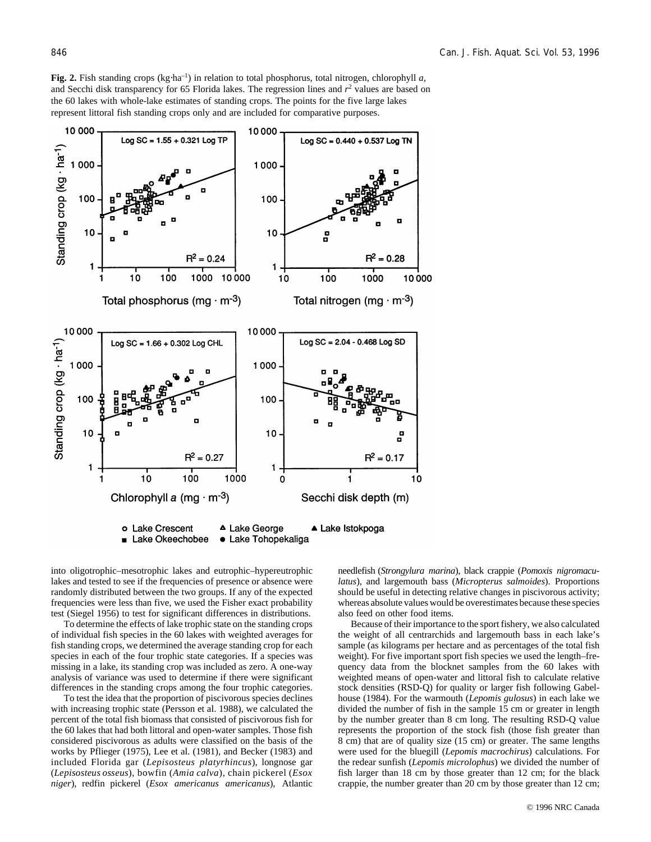**Fig. 2.** Fish standing crops (kg⋅ha–1) in relation to total phosphorus, total nitrogen, chlorophyll *a*, and Secchi disk transparency for 65 Florida lakes. The regression lines and  $r<sup>2</sup>$  values are based on the 60 lakes with whole-lake estimates of standing crops. The points for the five large lakes represent littoral fish standing crops only and are included for comparative purposes.



into oligotrophic–mesotrophic lakes and eutrophic–hypereutrophic lakes and tested to see if the frequencies of presence or absence were randomly distributed between the two groups. If any of the expected frequencies were less than five, we used the Fisher exact probability test (Siegel 1956) to test for significant differences in distributions.

To determine the effects of lake trophic state on the standing crops of individual fish species in the 60 lakes with weighted averages for fish standing crops, we determined the average standing crop for each species in each of the four trophic state categories. If a species was missing in a lake, its standing crop was included as zero. A one-way analysis of variance was used to determine if there were significant differences in the standing crops among the four trophic categories.

To test the idea that the proportion of piscivorous species declines with increasing trophic state (Persson et al. 1988), we calculated the percent of the total fish biomass that consisted of piscivorous fish for the 60 lakes that had both littoral and open-water samples. Those fish considered piscivorous as adults were classified on the basis of the works by Pflieger (1975), Lee et al. (1981), and Becker (1983) and included Florida gar (*Lepisosteus platyrhincus*), longnose gar (*Lepisosteus osseus*), bowfin (*Amia calva*), chain pickerel (*Esox niger*), redfin pickerel (*Esox americanus americanus*), Atlantic

needlefish (*Strongylura marina*), black crappie (*Pomoxis nigromaculatus*), and largemouth bass (*Micropterus salmoides*). Proportions should be useful in detecting relative changes in piscivorous activity; whereas absolute values would be overestimates because these species also feed on other food items.

Because of their importance to the sport fishery, we also calculated the weight of all centrarchids and largemouth bass in each lake's sample (as kilograms per hectare and as percentages of the total fish weight)*.* For five important sport fish species we used the length–frequency data from the blocknet samples from the 60 lakes with weighted means of open-water and littoral fish to calculate relative stock densities (RSD-Q) for quality or larger fish following Gabelhouse (1984). For the warmouth (*Lepomis gulosus*) in each lake we divided the number of fish in the sample 15 cm or greater in length by the number greater than 8 cm long. The resulting RSD-Q value represents the proportion of the stock fish (those fish greater than 8 cm) that are of quality size (15 cm) or greater. The same lengths were used for the bluegill (*Lepomis macrochirus*) calculations. For the redear sunfish (*Lepomis microlophus*) we divided the number of fish larger than 18 cm by those greater than 12 cm; for the black crappie, the number greater than 20 cm by those greater than 12 cm;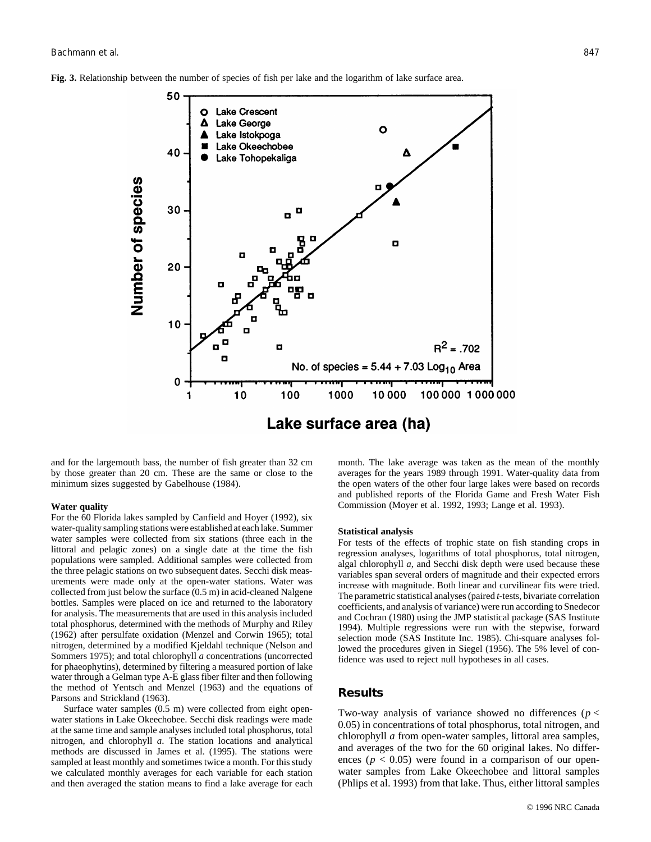**Fig. 3.** Relationship between the number of species of fish per lake and the logarithm of lake surface area.



Lake surface area (ha)

and for the largemouth bass, the number of fish greater than 32 cm by those greater than 20 cm. These are the same or close to the minimum sizes suggested by Gabelhouse (1984).

#### **Water quality**

For the 60 Florida lakes sampled by Canfield and Hoyer (1992), six water-quality sampling stations were established at each lake. Summer water samples were collected from six stations (three each in the littoral and pelagic zones) on a single date at the time the fish populations were sampled. Additional samples were collected from the three pelagic stations on two subsequent dates. Secchi disk measurements were made only at the open-water stations. Water was collected from just below the surface (0.5 m) in acid-cleaned Nalgene bottles. Samples were placed on ice and returned to the laboratory for analysis. The measurements that are used in this analysis included total phosphorus, determined with the methods of Murphy and Riley (1962) after persulfate oxidation (Menzel and Corwin 1965); total nitrogen, determined by a modified Kjeldahl technique (Nelson and Sommers 1975); and total chlorophyll *a* concentrations (uncorrected for phaeophytins), determined by filtering a measured portion of lake water through a Gelman type A-E glass fiber filter and then following the method of Yentsch and Menzel (1963) and the equations of Parsons and Strickland (1963).

Surface water samples (0.5 m) were collected from eight openwater stations in Lake Okeechobee. Secchi disk readings were made at the same time and sample analyses included total phosphorus, total nitrogen, and chlorophyll *a*. The station locations and analytical methods are discussed in James et al. (1995). The stations were sampled at least monthly and sometimes twice a month. For this study we calculated monthly averages for each variable for each station and then averaged the station means to find a lake average for each

month. The lake average was taken as the mean of the monthly averages for the years 1989 through 1991. Water-quality data from the open waters of the other four large lakes were based on records and published reports of the Florida Game and Fresh Water Fish Commission (Moyer et al. 1992, 1993; Lange et al. 1993).

### **Statistical analysis**

For tests of the effects of trophic state on fish standing crops in regression analyses, logarithms of total phosphorus, total nitrogen, algal chlorophyll *a*, and Secchi disk depth were used because these variables span several orders of magnitude and their expected errors increase with magnitude. Both linear and curvilinear fits were tried. The parametric statistical analyses (paired *t*-tests, bivariate correlation coefficients, and analysis of variance) were run according to Snedecor and Cochran (1980) using the JMP statistical package (SAS Institute 1994). Multiple regressions were run with the stepwise, forward selection mode (SAS Institute Inc. 1985). Chi-square analyses followed the procedures given in Siegel (1956). The 5% level of confidence was used to reject null hypotheses in all cases.

# **Results**

Two-way analysis of variance showed no differences ( $p <$ 0.05) in concentrations of total phosphorus, total nitrogen, and chlorophyll *a* from open-water samples, littoral area samples, and averages of the two for the 60 original lakes. No differences ( $p < 0.05$ ) were found in a comparison of our openwater samples from Lake Okeechobee and littoral samples (Phlips et al. 1993) from that lake. Thus, either littoral samples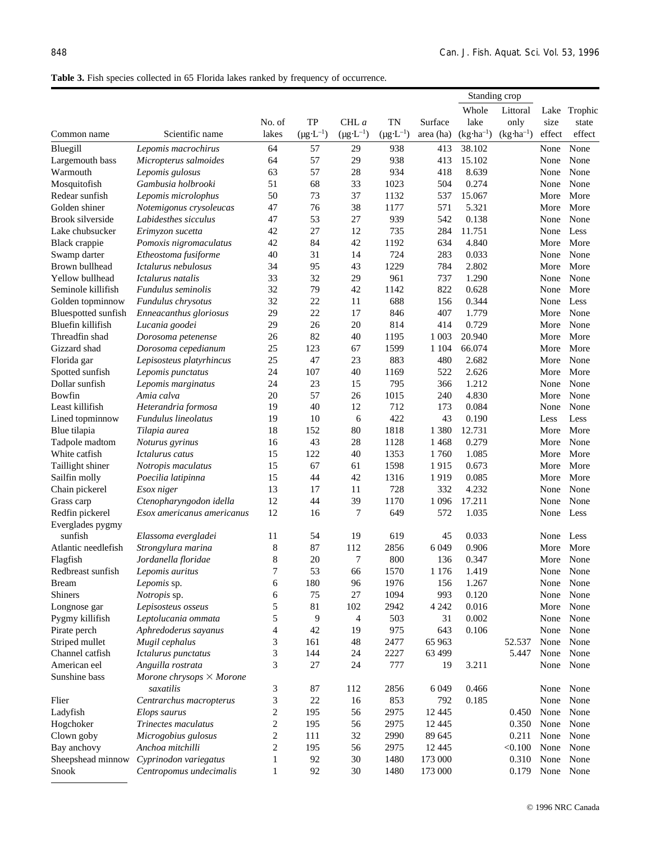Table 3. Fish species collected in 65 Florida lakes ranked by frequency of occurrence.

|                         |                                         |                |                        |                        | Standing crop          |           |                      |                      |        |              |
|-------------------------|-----------------------------------------|----------------|------------------------|------------------------|------------------------|-----------|----------------------|----------------------|--------|--------------|
|                         |                                         |                |                        |                        |                        |           | Whole                | Littoral             |        | Lake Trophic |
|                         |                                         | No. of         | TP                     | CHL a                  | <b>TN</b>              | Surface   | lake                 | only                 | size   | state        |
| Common name             | Scientific name                         | lakes          | $(\mu g \cdot L^{-1})$ | $(\mu g \cdot L^{-1})$ | $(\mu g \cdot L^{-1})$ | area (ha) | $(kg \cdot ha^{-1})$ | $(kg \cdot ha^{-1})$ | effect | effect       |
| Bluegill                | Lepomis macrochirus                     | 64             | 57                     | 29                     | 938                    | 413       | 38.102               |                      | None   | None         |
| Largemouth bass         | Micropterus salmoides                   | 64             | 57                     | 29                     | 938                    | 413       | 15.102               |                      | None   | None         |
| Warmouth                | Lepomis gulosus                         | 63             | 57                     | 28                     | 934                    | 418       | 8.639                |                      | None   | None         |
| Mosquitofish            | Gambusia holbrooki                      | 51             | 68                     | 33                     | 1023                   | 504       | 0.274                |                      | None   | None         |
| Redear sunfish          | Lepomis microlophus                     | 50             | 73                     | 37                     | 1132                   | 537       | 15.067               |                      | More   | More         |
| Golden shiner           | Notemigonus crysoleucas                 | 47             | 76                     | 38                     | 1177                   | 571       | 5.321                |                      | More   | More         |
| <b>Brook silverside</b> | Labidesthes sicculus                    | 47             | 53                     | 27                     | 939                    | 542       | 0.138                |                      | None   | None         |
| Lake chubsucker         | Erimyzon sucetta                        | 42             | 27                     | 12                     | 735                    | 284       | 11.751               |                      | None   | Less         |
| <b>Black</b> crappie    | Pomoxis nigromaculatus                  | 42             | 84                     | 42                     | 1192                   | 634       | 4.840                |                      | More   | More         |
| Swamp darter            | Etheostoma fusiforme                    | 40             | 31                     | 14                     | 724                    | 283       | 0.033                |                      | None   | None         |
| Brown bullhead          | Ictalurus nebulosus                     | 34             | 95                     | 43                     | 1229                   | 784       | 2.802                |                      | More   | More         |
| Yellow bullhead         | Ictalurus natalis                       | 33             | 32                     | 29                     | 961                    | 737       | 1.290                |                      | None   | None         |
| Seminole killifish      | Fundulus seminolis                      | 32             | 79                     | 42                     | 1142                   | 822       | 0.628                |                      | None   | More         |
| Golden topminnow        | Fundulus chrysotus                      | 32             | 22                     | 11                     | 688                    | 156       | 0.344                |                      | None   | Less         |
| Bluespotted sunfish     | Enneacanthus gloriosus                  | 29             | 22                     | 17                     | 846                    | 407       | 1.779                |                      | More   | None         |
| Bluefin killifish       | Lucania goodei                          | 29             | 26                     | 20                     | 814                    | 414       | 0.729                |                      | More   | None         |
| Threadfin shad          | Dorosoma petenense                      | 26             | 82                     | 40                     | 1195                   | 1 0 0 3   | 20.940               |                      | More   | More         |
| Gizzard shad            | Dorosoma cepedianum                     | 25             | 123                    | 67                     | 1599                   | 1 1 0 4   | 66.074               |                      | More   | More         |
| Florida gar             | Lepisosteus platyrhincus                | 25             | 47                     | 23                     | 883                    | 480       | 2.682                |                      | More   | None         |
| Spotted sunfish         | Lepomis punctatus                       | 24             | 107                    | 40                     | 1169                   | 522       | 2.626                |                      | More   | More         |
| Dollar sunfish          | Lepomis marginatus                      | 24             | 23                     | 15                     | 795                    | 366       | 1.212                |                      | None   | None         |
| Bowfin                  | Amia calva                              | 20             | 57                     | 26                     | 1015                   | 240       | 4.830                |                      | More   | None         |
| Least killifish         | Heterandria formosa                     | 19             | 40                     | 12                     | 712                    | 173       | 0.084                |                      | None   | None         |
| Lined topminnow         | <b>Fundulus lineolatus</b>              | 19             | 10                     | 6                      | 422                    | 43        | 0.190                |                      | Less   | Less         |
| Blue tilapia            | Tilapia aurea                           | 18             | 152                    | 80                     | 1818                   | 1 3 8 0   | 12.731               |                      | More   | More         |
| Tadpole madtom          | Noturus gyrinus                         | 16             | 43                     | 28                     | 1128                   | 1468      | 0.279                |                      | More   | None         |
| White catfish           | Ictalurus catus                         | 15             | 122                    | 40                     | 1353                   | 1760      | 1.085                |                      | More   | More         |
| Taillight shiner        | Notropis maculatus                      | 15             | 67                     | 61                     | 1598                   | 1915      | 0.673                |                      | More   | More         |
| Sailfin molly           | Poecilia latipinna                      | 15             | 44                     | 42                     | 1316                   | 1919      | 0.085                |                      | More   | More         |
| Chain pickerel          | Esox niger                              | 13             | 17                     | 11                     | 728                    | 332       | 4.232                |                      | None   | None         |
| Grass carp              | Ctenopharyngodon idella                 | 12             | 44                     | 39                     | 1170                   | 1 0 9 6   | 17.211               |                      | None   | None         |
| Redfin pickerel         | Esox americanus americanus              | 12             | 16                     | 7                      | 649                    | 572       | 1.035                |                      | None   | Less         |
| Everglades pygmy        |                                         |                |                        |                        |                        |           |                      |                      |        |              |
| sunfish                 | Elassoma evergladei                     | 11             | 54                     | 19                     | 619                    | 45        | 0.033                |                      | None   | Less         |
| Atlantic needlefish     | Strongylura marina                      | 8              | 87                     | 112                    | 2856                   | 6049      | 0.906                |                      | More   | More         |
| Flagfish                | Jordanella floridae                     | 8              | 20                     | 7                      | 800                    | 136       | 0.347                |                      |        | More None    |
| Redbreast sunfish       | Lepomis auritus                         | 7              | 53                     | 66                     | 1570                   | 1 1 7 6   | 1.419                |                      | None   | None         |
| <b>Bream</b>            | Lepomis sp.                             | 6              | 180                    | 96                     | 1976                   | 156       | 1.267                |                      | None   | None         |
| <b>Shiners</b>          | Notropis sp.                            | 6              | 75                     | 27                     | 1094                   | 993       | 0.120                |                      | None   | None         |
| Longnose gar            | Lepisosteus osseus                      | 5              | 81                     | 102                    | 2942                   | 4 2 4 2   | 0.016                |                      | More   | None         |
| Pygmy killifish         | Leptolucania ommata                     | 5              | 9                      | 4                      | 503                    | 31        | 0.002                |                      | None   | None         |
| Pirate perch            | Aphredoderus sayanus                    | 4              | 42                     | 19                     | 975                    | 643       | 0.106                |                      | None   | None         |
| Striped mullet          | Mugil cephalus                          | 3              | 161                    | 48                     | 2477                   | 65 963    |                      | 52.537               | None   | None         |
| Channel catfish         | Ictalurus punctatus                     | 3              | 144                    | 24                     | 2227                   | 63 499    |                      | 5.447                | None   | None         |
| American eel            | Anguilla rostrata                       | 3              | 27                     | 24                     | 777                    | 19        | 3.211                |                      | None   | None         |
| Sunshine bass           | Morone chrysops $\times$ Morone         |                |                        |                        |                        |           |                      |                      |        |              |
|                         | saxatilis                               | 3              | 87                     | 112                    | 2856                   | 6049      | 0.466                |                      | None   | None         |
| Flier                   |                                         | 3              | 22                     | 16                     | 853                    | 792       | 0.185                |                      | None   | None         |
| Ladyfish                | Centrarchus macropterus<br>Elops saurus | 2              | 195                    | 56                     | 2975                   | 12 4 45   |                      | 0.450                | None   | None         |
| Hogchoker               | Trinectes maculatus                     | 2              | 195                    | 56                     | 2975                   | 12 4 45   |                      | 0.350                | None   | None         |
| Clown goby              | Microgobius gulosus                     | $\overline{2}$ | 111                    | 32                     | 2990                   | 89 645    |                      | 0.211                | None   | None         |
| Bay anchovy             | Anchoa mitchilli                        | $\mathbf{2}$   | 195                    | 56                     | 2975                   | 12 4 45   |                      | < 0.100              | None   | None         |
| Sheepshead minnow       | Cyprinodon variegatus                   | $\mathbf{1}$   | 92                     | 30                     | 1480                   | 173 000   |                      | 0.310                | None   | None         |
|                         |                                         | 1              | 92                     |                        |                        |           |                      |                      |        |              |
| Snook                   | Centropomus undecimalis                 |                |                        | 30                     | 1480                   | 173 000   |                      | 0.179                | None   | None         |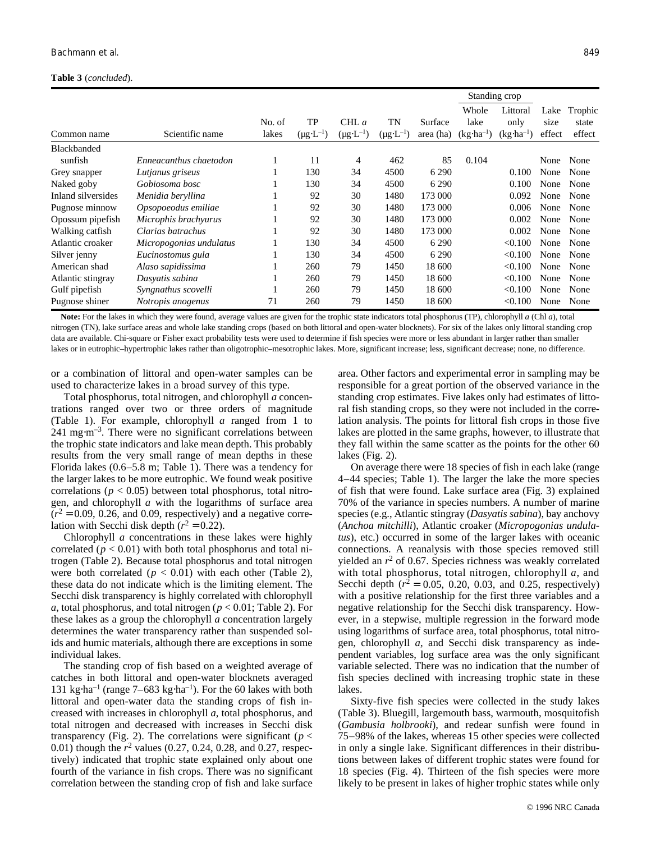## **Table 3** (*concluded*).

|                    |                         |        |                        |                        |                        |           | Standing crop        |                      |        |         |
|--------------------|-------------------------|--------|------------------------|------------------------|------------------------|-----------|----------------------|----------------------|--------|---------|
|                    |                         |        |                        |                        |                        |           | Whole                | Littoral             | Lake   | Trophic |
|                    |                         | No. of | TP                     | CHL a                  | TN                     | Surface   | lake                 | only                 | size   | state   |
| Common name        | Scientific name         | lakes  | $(\mu g \cdot L^{-1})$ | $(\mu g \cdot L^{-1})$ | $(\mu g \cdot L^{-1})$ | area (ha) | $(kg \cdot ha^{-1})$ | $(kg \cdot ha^{-1})$ | effect | effect  |
| <b>Blackbanded</b> |                         |        |                        |                        |                        |           |                      |                      |        |         |
| sunfish            | Enneacanthus chaetodon  |        | 11                     | 4                      | 462                    | 85        | 0.104                |                      | None   | None    |
| Grey snapper       | Lutjanus griseus        |        | 130                    | 34                     | 4500                   | 6 2 9 0   |                      | 0.100                | None   | None    |
| Naked goby         | Gobiosoma bosc          |        | 130                    | 34                     | 4500                   | 6 2 9 0   |                      | 0.100                | None   | None    |
| Inland silversides | Menidia beryllina       |        | 92                     | 30                     | 1480                   | 173 000   |                      | 0.092                | None   | None    |
| Pugnose minnow     | Opsopoeodus emiliae     |        | 92                     | 30                     | 1480                   | 173 000   |                      | 0.006                | None   | None    |
| Opossum pipefish   | Microphis brachyurus    |        | 92                     | 30                     | 1480                   | 173 000   |                      | 0.002                | None   | None    |
| Walking catfish    | Clarias batrachus       |        | 92                     | 30                     | 1480                   | 173 000   |                      | 0.002                | None   | None    |
| Atlantic croaker   | Micropogonias undulatus |        | 130                    | 34                     | 4500                   | 6 2 9 0   |                      | < 0.100              | None   | None    |
| Silver jenny       | Eucinostomus gula       |        | 130                    | 34                     | 4500                   | 6 2 9 0   |                      | < 0.100              | None   | None    |
| American shad      | Alaso sapidissima       |        | 260                    | 79                     | 1450                   | 18 600    |                      | < 0.100              | None   | None    |
| Atlantic stingray  | Dasyatis sabina         |        | 260                    | 79                     | 1450                   | 18 600    |                      | < 0.100              | None   | None    |
| Gulf pipefish      | Syngnathus scovelli     |        | 260                    | 79                     | 1450                   | 18 600    |                      | < 0.100              | None   | None    |
| Pugnose shiner     | Notropis anogenus       | 71     | 260                    | 79                     | 1450                   | 18 600    |                      | < 0.100              | None   | None    |

**Note:** For the lakes in which they were found, average values are given for the trophic state indicators total phosphorus (TP), chlorophyll *a* (Chl *a*), total nitrogen (TN), lake surface areas and whole lake standing crops (based on both littoral and open-water blocknets). For six of the lakes only littoral standing crop data are available. Chi-square or Fisher exact probability tests were used to determine if fish species were more or less abundant in larger rather than smaller lakes or in eutrophic–hypertrophic lakes rather than oligotrophic–mesotrophic lakes. More, significant increase; less, significant decrease; none, no difference.

or a combination of littoral and open-water samples can be used to characterize lakes in a broad survey of this type.

Total phosphorus, total nitrogen, and chlorophyll *a* concentrations ranged over two or three orders of magnitude (Table 1). For example, chlorophyll *a* ranged from 1 to  $241$  mg⋅m<sup>-3</sup>. There were no significant correlations between the trophic state indicators and lake mean depth. This probably results from the very small range of mean depths in these Florida lakes (0.6–5.8 m; Table 1). There was a tendency for the larger lakes to be more eutrophic. We found weak positive correlations ( $p < 0.05$ ) between total phosphorus, total nitrogen, and chlorophyll *a* with the logarithms of surface area  $(r^2 = 0.09, 0.26,$  and 0.09, respectively) and a negative correlation with Secchi disk depth  $(r^2 = 0.22)$ .

Chlorophyll *a* concentrations in these lakes were highly correlated  $(p < 0.01)$  with both total phosphorus and total nitrogen (Table 2). Because total phosphorus and total nitrogen were both correlated  $(p < 0.01)$  with each other (Table 2), these data do not indicate which is the limiting element. The Secchi disk transparency is highly correlated with chlorophyll *a*, total phosphorus, and total nitrogen ( $p < 0.01$ ; Table 2). For these lakes as a group the chlorophyll *a* concentration largely determines the water transparency rather than suspended solids and humic materials, although there are exceptions in some individual lakes.

The standing crop of fish based on a weighted average of catches in both littoral and open-water blocknets averaged 131 kg⋅ha<sup>-1</sup> (range 7–683 kg⋅ha<sup>-1</sup>). For the 60 lakes with both littoral and open-water data the standing crops of fish increased with increases in chlorophyll *a*, total phosphorus, and total nitrogen and decreased with increases in Secchi disk transparency (Fig. 2). The correlations were significant ( $p <$ 0.01) though the *r*<sup>2</sup> values (0.27, 0.24, 0.28, and 0.27, respectively) indicated that trophic state explained only about one fourth of the variance in fish crops. There was no significant correlation between the standing crop of fish and lake surface

area. Other factors and experimental error in sampling may be responsible for a great portion of the observed variance in the standing crop estimates. Five lakes only had estimates of littoral fish standing crops, so they were not included in the correlation analysis. The points for littoral fish crops in those five lakes are plotted in the same graphs, however, to illustrate that they fall within the same scatter as the points for the other 60 lakes (Fig. 2).

On average there were 18 species of fish in each lake (range 4–44 species; Table 1). The larger the lake the more species of fish that were found. Lake surface area (Fig. 3) explained 70% of the variance in species numbers. A number of marine species (e.g., Atlantic stingray (*Dasyatis sabina*), bay anchovy (*Anchoa mitchilli*), Atlantic croaker (*Micropogonias undulatus*), etc.) occurred in some of the larger lakes with oceanic connections. A reanalysis with those species removed still yielded an  $r^2$  of 0.67. Species richness was weakly correlated with total phosphorus, total nitrogen, chlorophyll *a*, and Secchi depth  $(r^2 = 0.05, 0.20, 0.03, \text{ and } 0.25, \text{ respectively})$ with a positive relationship for the first three variables and a negative relationship for the Secchi disk transparency. However, in a stepwise, multiple regression in the forward mode using logarithms of surface area, total phosphorus, total nitrogen, chlorophyll *a*, and Secchi disk transparency as independent variables, log surface area was the only significant variable selected. There was no indication that the number of fish species declined with increasing trophic state in these lakes.

Sixty-five fish species were collected in the study lakes (Table 3). Bluegill, largemouth bass, warmouth, mosquitofish (*Gambusia holbrooki*), and redear sunfish were found in 75–98% of the lakes, whereas 15 other species were collected in only a single lake. Significant differences in their distributions between lakes of different trophic states were found for 18 species (Fig. 4). Thirteen of the fish species were more likely to be present in lakes of higher trophic states while only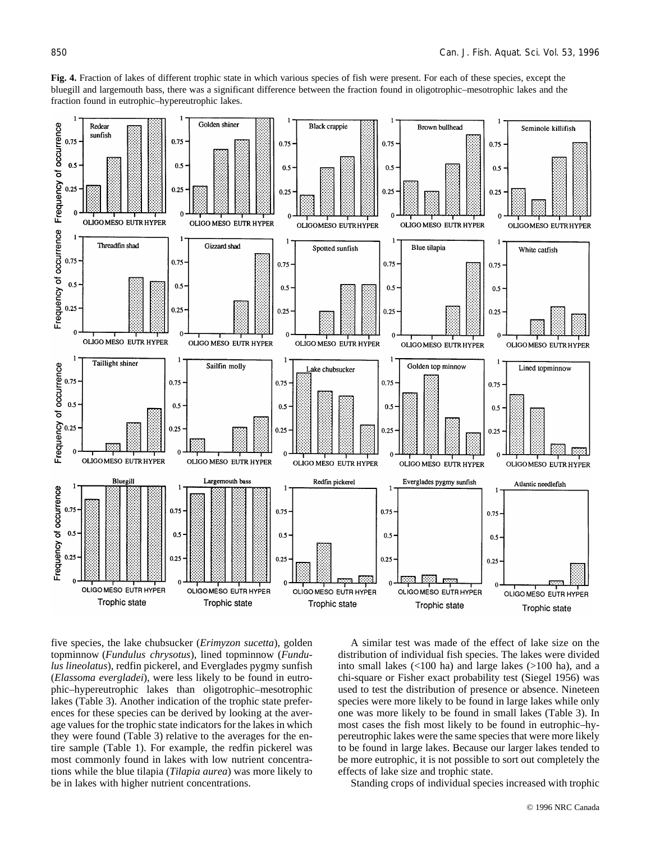**Fig. 4.** Fraction of lakes of different trophic state in which various species of fish were present. For each of these species, except the bluegill and largemouth bass, there was a significant difference between the fraction found in oligotrophic–mesotrophic lakes and the fraction found in eutrophic–hypereutrophic lakes.



five species, the lake chubsucker (*Erimyzon sucetta*), golden topminnow (*Fundulus chrysotus*), lined topminnow (*Fundulus lineolatus*), redfin pickerel, and Everglades pygmy sunfish (*Elassoma evergladei*), were less likely to be found in eutrophic–hypereutrophic lakes than oligotrophic–mesotrophic lakes (Table 3). Another indication of the trophic state preferences for these species can be derived by looking at the average values for the trophic state indicators for the lakes in which they were found (Table 3) relative to the averages for the entire sample (Table 1). For example, the redfin pickerel was most commonly found in lakes with low nutrient concentrations while the blue tilapia (*Tilapia aurea*) was more likely to be in lakes with higher nutrient concentrations.

A similar test was made of the effect of lake size on the distribution of individual fish species. The lakes were divided into small lakes (<100 ha) and large lakes (>100 ha), and a chi-square or Fisher exact probability test (Siegel 1956) was used to test the distribution of presence or absence. Nineteen species were more likely to be found in large lakes while only one was more likely to be found in small lakes (Table 3). In most cases the fish most likely to be found in eutrophic–hypereutrophic lakes were the same species that were more likely to be found in large lakes. Because our larger lakes tended to be more eutrophic, it is not possible to sort out completely the effects of lake size and trophic state.

Standing crops of individual species increased with trophic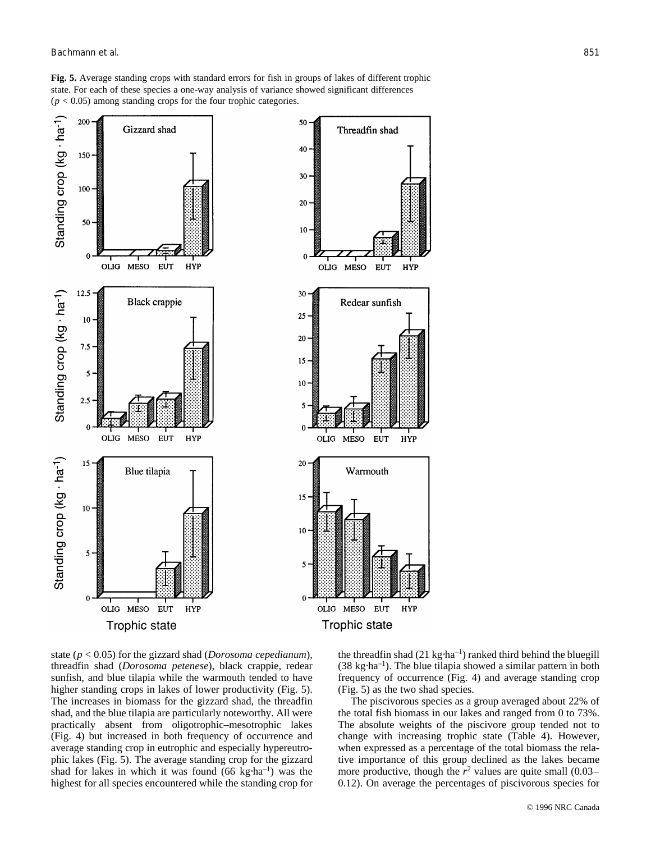**Fig. 5.** Average standing crops with standard errors for fish in groups of lakes of different trophic state. For each of these species a one-way analysis of variance showed significant differences  $(p < 0.05)$  among standing crops for the four trophic categories.



state (*p* < 0.05) for the gizzard shad (*Dorosoma cepedianum*), threadfin shad (*Dorosoma petenese*), black crappie, redear sunfish, and blue tilapia while the warmouth tended to have higher standing crops in lakes of lower productivity (Fig. 5). The increases in biomass for the gizzard shad, the threadfin shad, and the blue tilapia are particularly noteworthy. All were practically absent from oligotrophic–mesotrophic lakes (Fig. 4) but increased in both frequency of occurrence and average standing crop in eutrophic and especially hypereutrophic lakes (Fig. 5). The average standing crop for the gizzard shad for lakes in which it was found  $(66 \text{ kg} \cdot \text{ha}^{-1})$  was the highest for all species encountered while the standing crop for

the threadfin shad  $(21 \text{ kg} \cdot \text{ha}^{-1})$  ranked third behind the bluegill  $(38 \text{ kg} \cdot \text{ha}^{-1})$ . The blue tilapia showed a similar pattern in both frequency of occurrence (Fig. 4) and average standing crop (Fig. 5) as the two shad species.

The piscivorous species as a group averaged about 22% of the total fish biomass in our lakes and ranged from 0 to 73%. The absolute weights of the piscivore group tended not to change with increasing trophic state (Table 4). However, when expressed as a percentage of the total biomass the relative importance of this group declined as the lakes became more productive, though the  $r^2$  values are quite small (0.03– 0.12). On average the percentages of piscivorous species for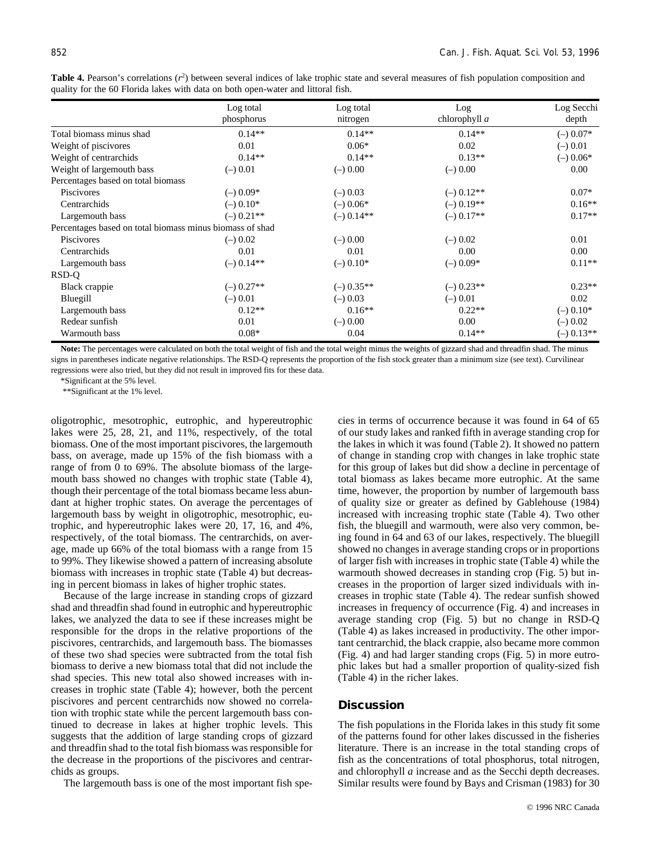|                                                          | Log total<br>phosphorus | Log total<br>nitrogen | Log<br>chlorophyll $a$ | Log Secchi<br>depth |
|----------------------------------------------------------|-------------------------|-----------------------|------------------------|---------------------|
| Total biomass minus shad                                 | $0.14**$                | $0.14**$              | $0.14**$               | $(-)$ 0.07*         |
| Weight of piscivores                                     | 0.01                    | $0.06*$               | 0.02                   | $(-) 0.01$          |
| Weight of centrarchids                                   | $0.14**$                | $0.14**$              | $0.13**$               | $(-)$ 0.06*         |
| Weight of largemouth bass                                | $(-) 0.01$              | $(-) 0.00$            | $(-) 0.00$             | 0.00                |
| Percentages based on total biomass                       |                         |                       |                        |                     |
| Piscivores                                               | $(-)$ 0.09*             | $(-) 0.03$            | $(-)$ 0.12**           | $0.07*$             |
| Centrarchids                                             | $(-) 0.10*$             | $(-)$ 0.06*           | $(-)$ 0.19**           | $0.16**$            |
| Largemouth bass                                          | $(-)$ 0.21**            | $(-)$ 0.14**          | $(-)$ 0.17**           | $0.17**$            |
| Percentages based on total biomass minus biomass of shad |                         |                       |                        |                     |
| Piscivores                                               | $(-) 0.02$              | $(-) 0.00$            | $(-) 0.02$             | 0.01                |
| Centrarchids                                             | 0.01                    | 0.01                  | 0.00                   | 0.00                |
| Largemouth bass                                          | $(-)$ 0.14**            | $(-) 0.10*$           | $(-)$ 0.09*            | $0.11**$            |
| RSD-O                                                    |                         |                       |                        |                     |
| Black crappie                                            | $(-)$ 0.27**            | $(-)$ 0.35**          | $(-)$ 0.23**           | $0.23**$            |
| Bluegill                                                 | $(-) 0.01$              | $(-) 0.03$            | $(-) 0.01$             | 0.02                |
| Largemouth bass                                          | $0.12**$                | $0.16**$              | $0.22**$               | $(-)$ 0.10*         |
| Redear sunfish                                           | 0.01                    | $(-) 0.00$            | 0.00                   | $(-) 0.02$          |
| Warmouth bass                                            | $0.08*$                 | 0.04                  | $0.14**$               | $(-)$ 0.13**        |

**Table 4.** Pearson's correlations  $(r^2)$  between several indices of lake trophic state and several measures of fish population composition and quality for the 60 Florida lakes with data on both open-water and littoral fish.

**Note:** The percentages were calculated on both the total weight of fish and the total weight minus the weights of gizzard shad and threadfin shad. The minus signs in parentheses indicate negative relationships. The RSD-Q represents the proportion of the fish stock greater than a minimum size (see text). Curvilinear regressions were also tried, but they did not result in improved fits for these data.

\*Significant at the 5% level.

\*\*Significant at the 1% level.

oligotrophic, mesotrophic, eutrophic, and hypereutrophic lakes were 25, 28, 21, and 11%, respectively, of the total biomass. One of the most important piscivores, the largemouth bass, on average, made up 15% of the fish biomass with a range of from 0 to 69%. The absolute biomass of the largemouth bass showed no changes with trophic state (Table 4), though their percentage of the total biomass became less abundant at higher trophic states. On average the percentages of largemouth bass by weight in oligotrophic, mesotrophic, eutrophic, and hypereutrophic lakes were 20, 17, 16, and 4%, respectively, of the total biomass. The centrarchids, on average, made up 66% of the total biomass with a range from 15 to 99%. They likewise showed a pattern of increasing absolute biomass with increases in trophic state (Table 4) but decreasing in percent biomass in lakes of higher trophic states.

Because of the large increase in standing crops of gizzard shad and threadfin shad found in eutrophic and hypereutrophic lakes, we analyzed the data to see if these increases might be responsible for the drops in the relative proportions of the piscivores, centrarchids, and largemouth bass. The biomasses of these two shad species were subtracted from the total fish biomass to derive a new biomass total that did not include the shad species. This new total also showed increases with increases in trophic state (Table 4); however, both the percent piscivores and percent centrarchids now showed no correlation with trophic state while the percent largemouth bass continued to decrease in lakes at higher trophic levels. This suggests that the addition of large standing crops of gizzard and threadfin shad to the total fish biomass was responsible for the decrease in the proportions of the piscivores and centrarchids as groups.

The largemouth bass is one of the most important fish spe-

cies in terms of occurrence because it was found in 64 of 65 of our study lakes and ranked fifth in average standing crop for the lakes in which it was found (Table 2). It showed no pattern of change in standing crop with changes in lake trophic state for this group of lakes but did show a decline in percentage of total biomass as lakes became more eutrophic. At the same time, however, the proportion by number of largemouth bass of quality size or greater as defined by Gablehouse (1984) increased with increasing trophic state (Table 4). Two other fish, the bluegill and warmouth, were also very common, being found in 64 and 63 of our lakes, respectively. The bluegill showed no changes in average standing crops or in proportions of larger fish with increases in trophic state (Table 4) while the warmouth showed decreases in standing crop (Fig. 5) but increases in the proportion of larger sized individuals with increases in trophic state (Table 4). The redear sunfish showed increases in frequency of occurrence (Fig. 4) and increases in average standing crop (Fig. 5) but no change in RSD-Q (Table 4) as lakes increased in productivity. The other important centrarchid, the black crappie, also became more common (Fig. 4) and had larger standing crops (Fig. 5) in more eutrophic lakes but had a smaller proportion of quality-sized fish (Table 4) in the richer lakes.

## **Discussion**

The fish populations in the Florida lakes in this study fit some of the patterns found for other lakes discussed in the fisheries literature. There is an increase in the total standing crops of fish as the concentrations of total phosphorus, total nitrogen, and chlorophyll *a* increase and as the Secchi depth decreases. Similar results were found by Bays and Crisman (1983) for 30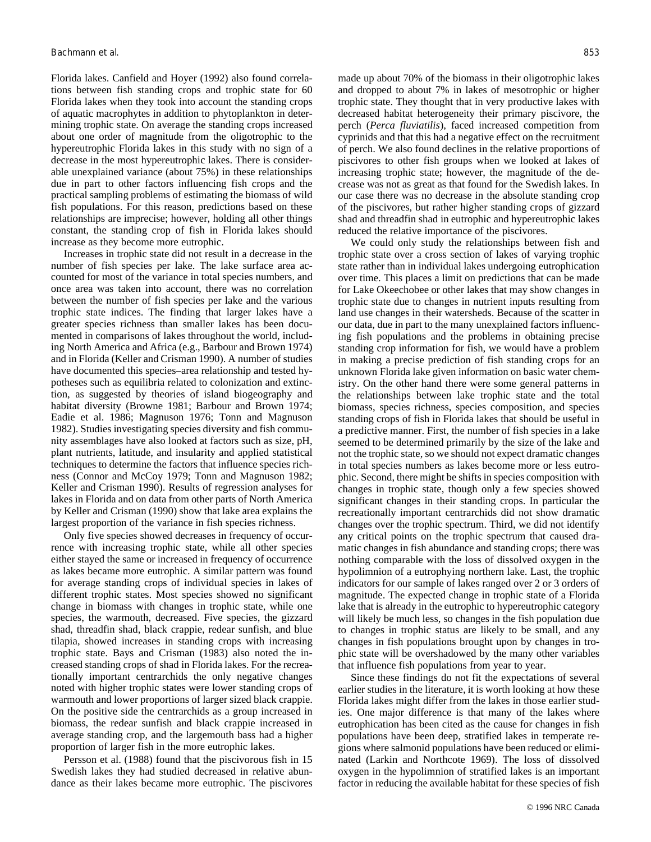Florida lakes. Canfield and Hoyer (1992) also found correlations between fish standing crops and trophic state for 60 Florida lakes when they took into account the standing crops of aquatic macrophytes in addition to phytoplankton in determining trophic state. On average the standing crops increased about one order of magnitude from the oligotrophic to the hypereutrophic Florida lakes in this study with no sign of a decrease in the most hypereutrophic lakes. There is considerable unexplained variance (about 75%) in these relationships due in part to other factors influencing fish crops and the practical sampling problems of estimating the biomass of wild fish populations. For this reason, predictions based on these relationships are imprecise; however, holding all other things constant, the standing crop of fish in Florida lakes should increase as they become more eutrophic.

Increases in trophic state did not result in a decrease in the number of fish species per lake. The lake surface area accounted for most of the variance in total species numbers, and once area was taken into account, there was no correlation between the number of fish species per lake and the various trophic state indices. The finding that larger lakes have a greater species richness than smaller lakes has been documented in comparisons of lakes throughout the world, including North America and Africa (e.g., Barbour and Brown 1974) and in Florida (Keller and Crisman 1990). A number of studies have documented this species–area relationship and tested hypotheses such as equilibria related to colonization and extinction, as suggested by theories of island biogeography and habitat diversity (Browne 1981; Barbour and Brown 1974; Eadie et al. 1986; Magnuson 1976; Tonn and Magnuson 1982). Studies investigating species diversity and fish community assemblages have also looked at factors such as size, pH, plant nutrients, latitude, and insularity and applied statistical techniques to determine the factors that influence species richness (Connor and McCoy 1979; Tonn and Magnuson 1982; Keller and Crisman 1990). Results of regression analyses for lakes in Florida and on data from other parts of North America by Keller and Crisman (1990) show that lake area explains the largest proportion of the variance in fish species richness.

Only five species showed decreases in frequency of occurrence with increasing trophic state, while all other species either stayed the same or increased in frequency of occurrence as lakes became more eutrophic. A similar pattern was found for average standing crops of individual species in lakes of different trophic states. Most species showed no significant change in biomass with changes in trophic state, while one species, the warmouth, decreased. Five species, the gizzard shad, threadfin shad, black crappie, redear sunfish, and blue tilapia, showed increases in standing crops with increasing trophic state. Bays and Crisman (1983) also noted the increased standing crops of shad in Florida lakes. For the recreationally important centrarchids the only negative changes noted with higher trophic states were lower standing crops of warmouth and lower proportions of larger sized black crappie. On the positive side the centrarchids as a group increased in biomass, the redear sunfish and black crappie increased in average standing crop, and the largemouth bass had a higher proportion of larger fish in the more eutrophic lakes.

Persson et al. (1988) found that the piscivorous fish in 15 Swedish lakes they had studied decreased in relative abundance as their lakes became more eutrophic. The piscivores

made up about 70% of the biomass in their oligotrophic lakes and dropped to about 7% in lakes of mesotrophic or higher trophic state. They thought that in very productive lakes with decreased habitat heterogeneity their primary piscivore, the perch (*Perca fluviatilis*), faced increased competition from cyprinids and that this had a negative effect on the recruitment of perch. We also found declines in the relative proportions of piscivores to other fish groups when we looked at lakes of increasing trophic state; however, the magnitude of the decrease was not as great as that found for the Swedish lakes. In our case there was no decrease in the absolute standing crop of the piscivores, but rather higher standing crops of gizzard shad and threadfin shad in eutrophic and hypereutrophic lakes reduced the relative importance of the piscivores.

We could only study the relationships between fish and trophic state over a cross section of lakes of varying trophic state rather than in individual lakes undergoing eutrophication over time. This places a limit on predictions that can be made for Lake Okeechobee or other lakes that may show changes in trophic state due to changes in nutrient inputs resulting from land use changes in their watersheds. Because of the scatter in our data, due in part to the many unexplained factors influencing fish populations and the problems in obtaining precise standing crop information for fish, we would have a problem in making a precise prediction of fish standing crops for an unknown Florida lake given information on basic water chemistry. On the other hand there were some general patterns in the relationships between lake trophic state and the total biomass, species richness, species composition, and species standing crops of fish in Florida lakes that should be useful in a predictive manner. First, the number of fish species in a lake seemed to be determined primarily by the size of the lake and not the trophic state, so we should not expect dramatic changes in total species numbers as lakes become more or less eutrophic. Second, there might be shifts in species composition with changes in trophic state, though only a few species showed significant changes in their standing crops. In particular the recreationally important centrarchids did not show dramatic changes over the trophic spectrum. Third, we did not identify any critical points on the trophic spectrum that caused dramatic changes in fish abundance and standing crops; there was nothing comparable with the loss of dissolved oxygen in the hypolimnion of a eutrophying northern lake. Last, the trophic indicators for our sample of lakes ranged over 2 or 3 orders of magnitude. The expected change in trophic state of a Florida lake that is already in the eutrophic to hypereutrophic category will likely be much less, so changes in the fish population due to changes in trophic status are likely to be small, and any changes in fish populations brought upon by changes in trophic state will be overshadowed by the many other variables that influence fish populations from year to year.

Since these findings do not fit the expectations of several earlier studies in the literature, it is worth looking at how these Florida lakes might differ from the lakes in those earlier studies. One major difference is that many of the lakes where eutrophication has been cited as the cause for changes in fish populations have been deep, stratified lakes in temperate regions where salmonid populations have been reduced or eliminated (Larkin and Northcote 1969). The loss of dissolved oxygen in the hypolimnion of stratified lakes is an important factor in reducing the available habitat for these species of fish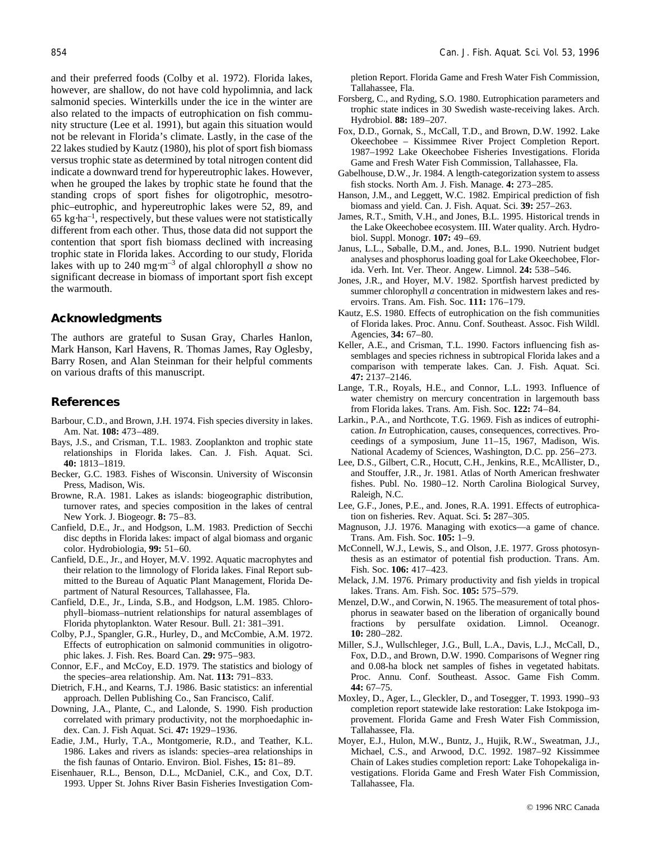and their preferred foods (Colby et al. 1972). Florida lakes, however, are shallow, do not have cold hypolimnia, and lack salmonid species. Winterkills under the ice in the winter are also related to the impacts of eutrophication on fish community structure (Lee et al. 1991), but again this situation would not be relevant in Florida's climate. Lastly, in the case of the 22 lakes studied by Kautz (1980), his plot of sport fish biomass versus trophic state as determined by total nitrogen content did indicate a downward trend for hypereutrophic lakes. However, when he grouped the lakes by trophic state he found that the standing crops of sport fishes for oligotrophic, mesotrophic–eutrophic, and hypereutrophic lakes were 52, 89, and  $65 \text{ kg} \cdot \text{ha}^{-1}$ , respectively, but these values were not statistically different from each other. Thus, those data did not support the contention that sport fish biomass declined with increasing trophic state in Florida lakes. According to our study, Florida lakes with up to 240 mg⋅m<sup>-3</sup> of algal chlorophyll *a* show no significant decrease in biomass of important sport fish except the warmouth.

# **Acknowledgments**

The authors are grateful to Susan Gray, Charles Hanlon, Mark Hanson, Karl Havens, R. Thomas James, Ray Oglesby, Barry Rosen, and Alan Steinman for their helpful comments on various drafts of this manuscript.

# **References**

- Barbour, C.D., and Brown, J.H. 1974. Fish species diversity in lakes. Am. Nat. **108:** 473–489.
- Bays, J.S., and Crisman, T.L. 1983. Zooplankton and trophic state relationships in Florida lakes. Can. J. Fish. Aquat. Sci. **40:** 1813–1819.
- Becker, G.C. 1983. Fishes of Wisconsin. University of Wisconsin Press, Madison, Wis.
- Browne, R.A. 1981. Lakes as islands: biogeographic distribution, turnover rates, and species composition in the lakes of central New York. J. Biogeogr. **8:** 75–83.
- Canfield, D.E., Jr., and Hodgson, L.M. 1983. Prediction of Secchi disc depths in Florida lakes: impact of algal biomass and organic color. Hydrobiologia, **99:** 51–60.
- Canfield, D.E., Jr., and Hoyer, M.V. 1992. Aquatic macrophytes and their relation to the limnology of Florida lakes. Final Report submitted to the Bureau of Aquatic Plant Management, Florida Department of Natural Resources, Tallahassee, Fla.
- Canfield, D.E., Jr., Linda, S.B., and Hodgson, L.M. 1985. Chlorophyll–biomass–nutrient relationships for natural assemblages of Florida phytoplankton. Water Resour. Bull. 21: 381–391.
- Colby, P.J., Spangler, G.R., Hurley, D., and McCombie, A.M. 1972. Effects of eutrophication on salmonid communities in oligotrophic lakes. J. Fish. Res. Board Can. **29:** 975–983.
- Connor, E.F., and McCoy, E.D. 1979. The statistics and biology of the species–area relationship. Am. Nat. **113:** 791–833.
- Dietrich, F.H., and Kearns, T.J. 1986. Basic statistics: an inferential approach. Dellen Publishing Co., San Francisco, Calif.
- Downing, J.A., Plante, C., and Lalonde, S. 1990. Fish production correlated with primary productivity, not the morphoedaphic index. Can. J. Fish Aquat. Sci. **47:** 1929–1936.
- Eadie, J.M., Hurly, T.A., Montgomerie, R.D., and Teather, K.L. 1986. Lakes and rivers as islands: species–area relationships in the fish faunas of Ontario. Environ. Biol. Fishes, **15:** 81–89.
- Eisenhauer, R.L., Benson, D.L., McDaniel, C.K., and Cox, D.T. 1993. Upper St. Johns River Basin Fisheries Investigation Com-

pletion Report. Florida Game and Fresh Water Fish Commission, Tallahassee, Fla.

- Forsberg, C., and Ryding, S.O. 1980. Eutrophication parameters and trophic state indices in 30 Swedish waste-receiving lakes. Arch. Hydrobiol. **88:** 189–207.
- Fox, D.D., Gornak, S., McCall, T.D., and Brown, D.W. 1992. Lake Okeechobee – Kissimmee River Project Completion Report. 1987–1992 Lake Okeechobee Fisheries Investigations. Florida Game and Fresh Water Fish Commission, Tallahassee, Fla.
- Gabelhouse, D.W., Jr. 1984. A length-categorization system to assess fish stocks. North Am. J. Fish. Manage. **4:** 273–285.
- Hanson, J.M., and Leggett, W.C. 1982. Empirical prediction of fish biomass and yield. Can. J. Fish. Aquat. Sci. **39:** 257–263.
- James, R.T., Smith, V.H., and Jones, B.L. 1995. Historical trends in the Lake Okeechobee ecosystem. III. Water quality. Arch. Hydrobiol. Suppl. Monogr. **107:** 49–69.
- Janus, L.L., Søballe, D.M., and. Jones, B.L. 1990. Nutrient budget analyses and phosphorus loading goal for Lake Okeechobee, Florida. Verh. Int. Ver. Theor. Angew. Limnol. **24:** 538–546.
- Jones, J.R., and Hoyer, M.V. 1982. Sportfish harvest predicted by summer chlorophyll *a* concentration in midwestern lakes and reservoirs. Trans. Am. Fish. Soc. **111:** 176–179.
- Kautz, E.S. 1980. Effects of eutrophication on the fish communities of Florida lakes. Proc. Annu. Conf. Southeast. Assoc. Fish Wildl. Agencies, **34:** 67–80.
- Keller, A.E., and Crisman, T.L. 1990. Factors influencing fish assemblages and species richness in subtropical Florida lakes and a comparison with temperate lakes. Can. J. Fish. Aquat. Sci. **47:** 2137–2146.
- Lange, T.R., Royals, H.E., and Connor, L.L. 1993. Influence of water chemistry on mercury concentration in largemouth bass from Florida lakes. Trans. Am. Fish. Soc. **122:** 74–84.
- Larkin., P.A., and Northcote, T.G. 1969. Fish as indices of eutrophication. *In* Eutrophication, causes, consequences, correctives. Proceedings of a symposium, June 11–15, 1967, Madison, Wis. National Academy of Sciences, Washington, D.C. pp. 256–273.
- Lee, D.S., Gilbert, C.R., Hocutt, C.H., Jenkins, R.E., McAllister, D., and Stouffer, J.R., Jr. 1981. Atlas of North American freshwater fishes. Publ. No. 1980–12. North Carolina Biological Survey, Raleigh, N.C.
- Lee, G.F., Jones, P.E., and. Jones, R.A. 1991. Effects of eutrophication on fisheries. Rev. Aquat. Sci. **5:** 287–305.
- Magnuson, J.J. 1976. Managing with exotics—a game of chance. Trans. Am. Fish. Soc. **105:** 1–9.
- McConnell, W.J., Lewis, S., and Olson, J.E. 1977. Gross photosynthesis as an estimator of potential fish production. Trans. Am. Fish. Soc. **106:** 417–423.
- Melack, J.M. 1976. Primary productivity and fish yields in tropical lakes. Trans. Am. Fish. Soc. **105:** 575–579.
- Menzel, D.W., and Corwin, N. 1965. The measurement of total phosphorus in seawater based on the liberation of organically bound fractions by persulfate oxidation. Limnol. Oceanogr. **10:** 280–282.
- Miller, S.J., Wullschleger, J.G., Bull, L.A., Davis, L.J., McCall, D., Fox, D.D., and Brown, D.W. 1990. Comparisons of Wegner ring and 0.08-ha block net samples of fishes in vegetated habitats. Proc. Annu. Conf. Southeast. Assoc. Game Fish Comm. **44:** 67–75.
- Moxley, D., Ager, L., Gleckler, D., and Tosegger, T. 1993. 1990–93 completion report statewide lake restoration: Lake Istokpoga improvement. Florida Game and Fresh Water Fish Commission, Tallahassee, Fla.
- Moyer, E.J., Hulon, M.W., Buntz, J., Hujik, R.W., Sweatman, J.J., Michael, C.S., and Arwood, D.C. 1992. 1987–92 Kissimmee Chain of Lakes studies completion report: Lake Tohopekaliga investigations. Florida Game and Fresh Water Fish Commission, Tallahassee, Fla.